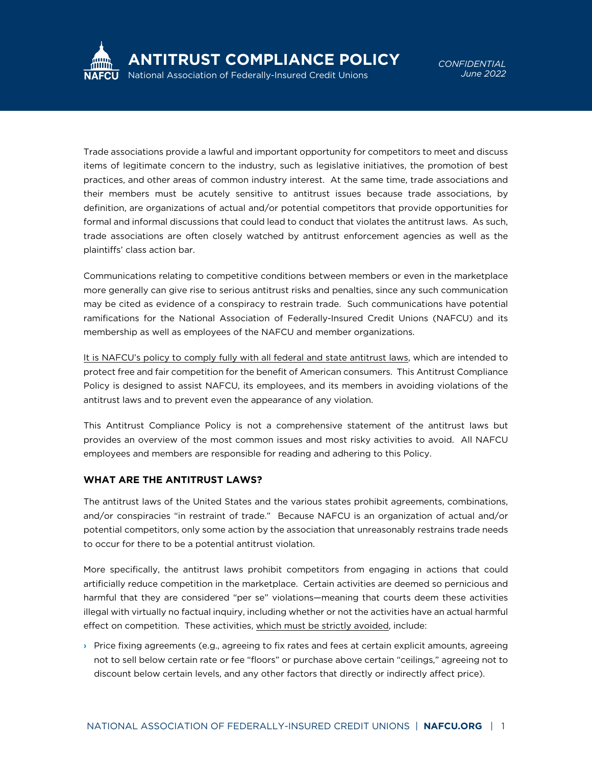

*CONFIDENTIAL June 2022*

Trade associations provide a lawful and important opportunity for competitors to meet and discuss items of legitimate concern to the industry, such as legislative initiatives, the promotion of best practices, and other areas of common industry interest. At the same time, trade associations and their members must be acutely sensitive to antitrust issues because trade associations, by definition, are organizations of actual and/or potential competitors that provide opportunities for formal and informal discussions that could lead to conduct that violates the antitrust laws. As such, trade associations are often closely watched by antitrust enforcement agencies as well as the plaintiffs' class action bar.

Communications relating to competitive conditions between members or even in the marketplace more generally can give rise to serious antitrust risks and penalties, since any such communication may be cited as evidence of a conspiracy to restrain trade. Such communications have potential ramifications for the National Association of Federally-Insured Credit Unions (NAFCU) and its membership as well as employees of the NAFCU and member organizations.

It is NAFCU's policy to comply fully with all federal and state antitrust laws, which are intended to protect free and fair competition for the benefit of American consumers. This Antitrust Compliance Policy is designed to assist NAFCU, its employees, and its members in avoiding violations of the antitrust laws and to prevent even the appearance of any violation.

This Antitrust Compliance Policy is not a comprehensive statement of the antitrust laws but provides an overview of the most common issues and most risky activities to avoid. All NAFCU employees and members are responsible for reading and adhering to this Policy.

### **WHAT ARE THE ANTITRUST LAWS?**

The antitrust laws of the United States and the various states prohibit agreements, combinations, and/or conspiracies "in restraint of trade." Because NAFCU is an organization of actual and/or potential competitors, only some action by the association that unreasonably restrains trade needs to occur for there to be a potential antitrust violation.

More specifically, the antitrust laws prohibit competitors from engaging in actions that could artificially reduce competition in the marketplace. Certain activities are deemed so pernicious and harmful that they are considered "per se" violations—meaning that courts deem these activities illegal with virtually no factual inquiry, including whether or not the activities have an actual harmful effect on competition. These activities, which must be strictly avoided, include:

› Price fixing agreements (e.g., agreeing to fix rates and fees at certain explicit amounts, agreeing not to sell below certain rate or fee "floors" or purchase above certain "ceilings," agreeing not to discount below certain levels, and any other factors that directly or indirectly affect price).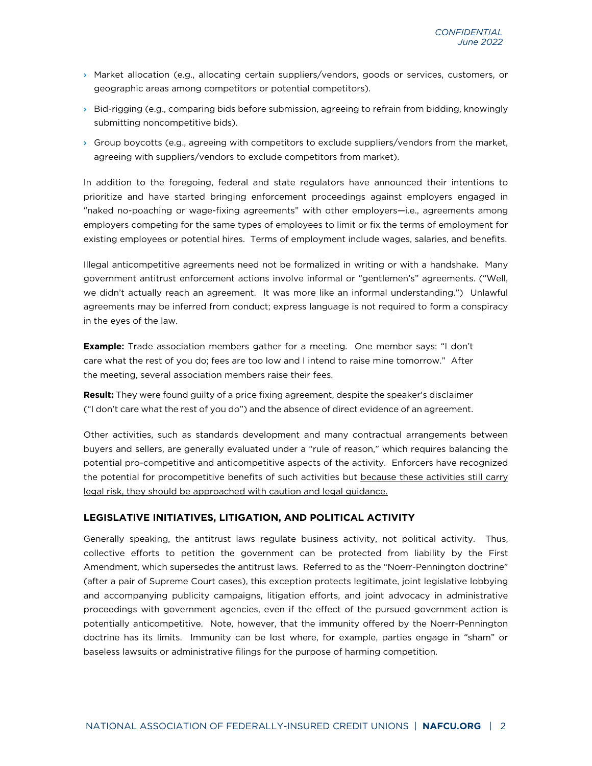- › Market allocation (e.g., allocating certain suppliers/vendors, goods or services, customers, or geographic areas among competitors or potential competitors).
- › Bid-rigging (e.g., comparing bids before submission, agreeing to refrain from bidding, knowingly submitting noncompetitive bids).
- › Group boycotts (e.g., agreeing with competitors to exclude suppliers/vendors from the market, agreeing with suppliers/vendors to exclude competitors from market).

In addition to the foregoing, federal and state regulators have announced their intentions to prioritize and have started bringing enforcement proceedings against employers engaged in "naked no-poaching or wage-fixing agreements" with other employers—i.e., agreements among employers competing for the same types of employees to limit or fix the terms of employment for existing employees or potential hires. Terms of employment include wages, salaries, and benefits.

Illegal anticompetitive agreements need not be formalized in writing or with a handshake. Many government antitrust enforcement actions involve informal or "gentlemen's" agreements. ("Well, we didn't actually reach an agreement. It was more like an informal understanding.") Unlawful agreements may be inferred from conduct; express language is not required to form a conspiracy in the eyes of the law.

**Example:** Trade association members gather for a meeting. One member says: "I don't care what the rest of you do; fees are too low and I intend to raise mine tomorrow." After the meeting, several association members raise their fees.

**Result:** They were found guilty of a price fixing agreement, despite the speaker's disclaimer ("I don't care what the rest of you do") and the absence of direct evidence of an agreement.

Other activities, such as standards development and many contractual arrangements between buyers and sellers, are generally evaluated under a "rule of reason," which requires balancing the potential pro-competitive and anticompetitive aspects of the activity. Enforcers have recognized the potential for procompetitive benefits of such activities but because these activities still carry legal risk, they should be approached with caution and legal guidance.

# **LEGISLATIVE INITIATIVES, LITIGATION, AND POLITICAL ACTIVITY**

Generally speaking, the antitrust laws regulate business activity, not political activity. Thus, collective efforts to petition the government can be protected from liability by the First Amendment, which supersedes the antitrust laws. Referred to as the "Noerr-Pennington doctrine" (after a pair of Supreme Court cases), this exception protects legitimate, joint legislative lobbying and accompanying publicity campaigns, litigation efforts, and joint advocacy in administrative proceedings with government agencies, even if the effect of the pursued government action is potentially anticompetitive. Note, however, that the immunity offered by the Noerr-Pennington doctrine has its limits. Immunity can be lost where, for example, parties engage in "sham" or baseless lawsuits or administrative filings for the purpose of harming competition.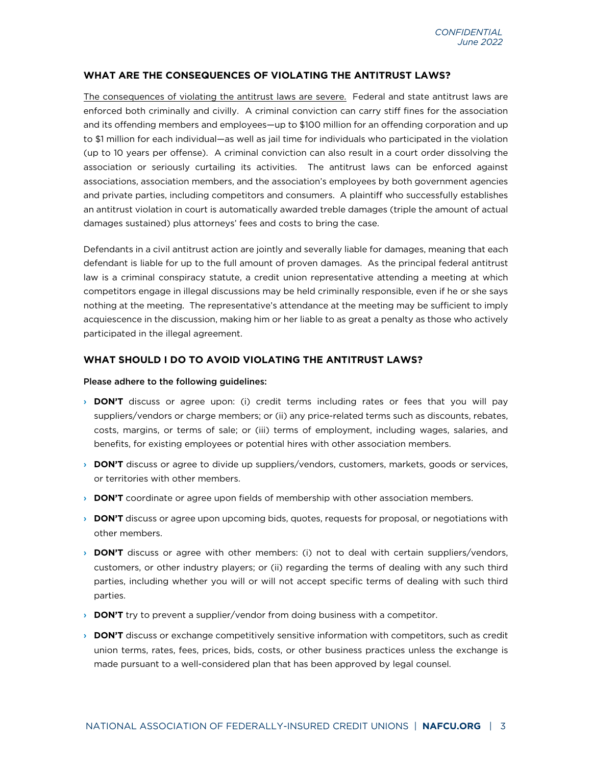### **WHAT ARE THE CONSEQUENCES OF VIOLATING THE ANTITRUST LAWS?**

The consequences of violating the antitrust laws are severe. Federal and state antitrust laws are enforced both criminally and civilly. A criminal conviction can carry stiff fines for the association and its offending members and employees—up to \$100 million for an offending corporation and up to \$1 million for each individual—as well as jail time for individuals who participated in the violation (up to 10 years per offense). A criminal conviction can also result in a court order dissolving the association or seriously curtailing its activities. The antitrust laws can be enforced against associations, association members, and the association's employees by both government agencies and private parties, including competitors and consumers. A plaintiff who successfully establishes an antitrust violation in court is automatically awarded treble damages (triple the amount of actual damages sustained) plus attorneys' fees and costs to bring the case.

Defendants in a civil antitrust action are jointly and severally liable for damages, meaning that each defendant is liable for up to the full amount of proven damages. As the principal federal antitrust law is a criminal conspiracy statute, a credit union representative attending a meeting at which competitors engage in illegal discussions may be held criminally responsible, even if he or she says nothing at the meeting. The representative's attendance at the meeting may be sufficient to imply acquiescence in the discussion, making him or her liable to as great a penalty as those who actively participated in the illegal agreement.

## **WHAT SHOULD I DO TO AVOID VIOLATING THE ANTITRUST LAWS?**

#### Please adhere to the following guidelines:

- › **DON'T** discuss or agree upon: (i) credit terms including rates or fees that you will pay suppliers/vendors or charge members; or (ii) any price-related terms such as discounts, rebates, costs, margins, or terms of sale; or (iii) terms of employment, including wages, salaries, and benefits, for existing employees or potential hires with other association members.
- › **DON'T** discuss or agree to divide up suppliers/vendors, customers, markets, goods or services, or territories with other members.
- **DON'T** coordinate or agree upon fields of membership with other association members.
- › **DON'T** discuss or agree upon upcoming bids, quotes, requests for proposal, or negotiations with other members.
- › **DON'T** discuss or agree with other members: (i) not to deal with certain suppliers/vendors, customers, or other industry players; or (ii) regarding the terms of dealing with any such third parties, including whether you will or will not accept specific terms of dealing with such third parties.
- › **DON'T** try to prevent a supplier/vendor from doing business with a competitor.
- › **DON'T** discuss or exchange competitively sensitive information with competitors, such as credit union terms, rates, fees, prices, bids, costs, or other business practices unless the exchange is made pursuant to a well-considered plan that has been approved by legal counsel.